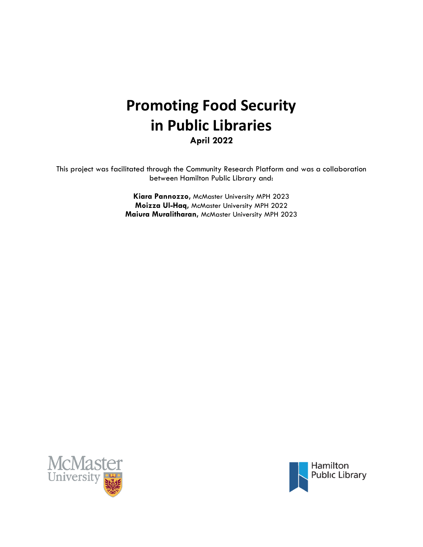# **Promoting Food Security in Public Libraries April 2022**

This project was facilitated through the Community Research Platform and was a collaboration between Hamilton Public Library and:

> **Kiara Pannozzo,** McMaster University MPH 2023 **Moizza Ul-Haq,** McMaster University MPH 2022 **Maiura Muralitharan,** McMaster University MPH 2023



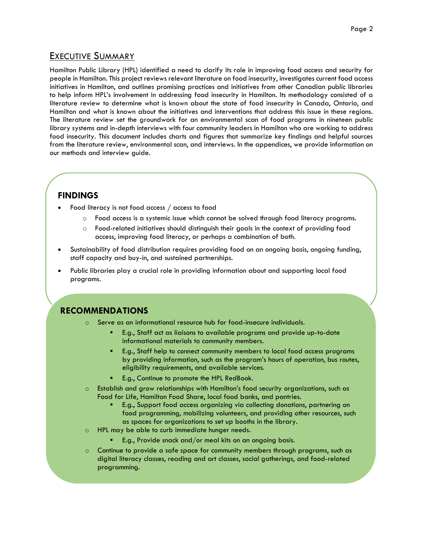# EXECUTIVE SUMMARY

Hamilton Public Library (HPL) identified a need to clarify its role in improving food access and security for people in Hamilton. This project reviews relevant literature on food insecurity, investigates current food access initiatives in Hamilton, and outlines promising practices and initiatives from other Canadian public libraries to help inform HPL's involvement in addressing food insecurity in Hamilton. Its methodology consisted of a literature review to determine what is known about the state of food insecurity in Canada, Ontario, and Hamilton and what is known about the initiatives and interventions that address this issue in these regions. The literature review set the groundwork for an environmental scan of food programs in nineteen public library systems and in-depth interviews with four community leaders in Hamilton who are working to address food insecurity. This document includes charts and figures that summarize key findings and helpful sources from the literature review, environmental scan, and interviews. In the appendices, we provide information on our methods and interview guide.

# **FINDINGS**

- Food literacy is not food access / access to food
	- o Food access is a systemic issue which cannot be solved through food literacy programs.
	- o Food-related initiatives should distinguish their goals in the context of providing food access, improving food literacy, or perhaps a combination of both.
- Sustainability of food distribution requires providing food on an ongoing basis, ongoing funding, staff capacity and buy-in, and sustained partnerships.
- Public libraries play a crucial role in providing information about and supporting local food programs.

# **RECOMMENDATIONS**

- o Serve as an informational resource hub for food-insecure individuals.
	- E.g., Staff act as liaisons to available programs and provide up-to-date informational materials to community members.
	- E.g., Staff help to connect community members to local food access programs by providing information, such as the program's hours of operation, bus routes, eligibility requirements, and available services.
	- E.g., Continue to promote the HPL RedBook.
- o Establish and grow relationships with Hamilton's food security organizations, such as Food for Life, Hamilton Food Share, local food banks, and pantries.
	- E.g., Support food access organizing via collecting donations, partnering on food programming, mobilizing volunteers, and providing other resources, such as spaces for organizations to set up booths in the library.
- o HPL may be able to curb immediate hunger needs.
	- E.g., Provide snack and/or meal kits on an ongoing basis.
- $\circ$  Continue to provide a safe space for community members through programs, such as digital literacy classes, reading and art classes, social gatherings, and food-related programming.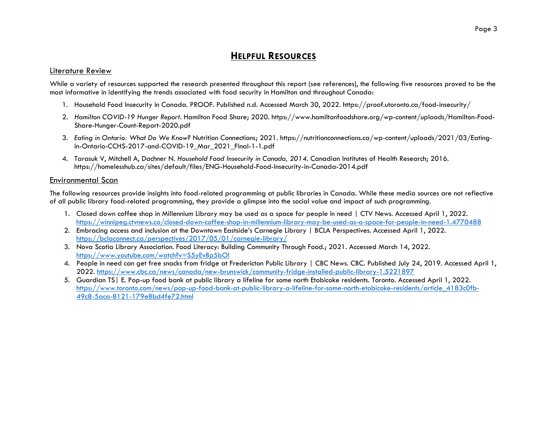# **HELPFUL RESOURCES**

### Literature Review

While a variety of resources supported the research presented throughout this report (see references), the following five resources proved to be the most informative in identifying the trends associated with food security in Hamilton and throughout Canada:

- 1. Household Food Insecurity in Canada. PROOF. Published n.d. Accessed March 30, 2022. https://proof.utoronto.ca/food-insecurity/
- 2. *Hamilton COVID-19 Hunger Report*. Hamilton Food Share; 2020. https://www.hamiltonfoodshare.org/wp-content/uploads/Hamilton-Food-Share-Hunger-Count-Report-2020.pdf
- 3. *Eating in Ontario: What Do We Know?* Nutrition Connections; 2021. https://nutritionconnections.ca/wp-content/uploads/2021/03/Eatingin-Ontario-CCHS-2017-and-COVID-19\_Mar\_2021\_Final-1-1.pdf
- 4. Tarasuk V, Mitchell A, Dachner N. *Household Food Insecurity in Canada, 2014*. Canadian Institutes of Health Research; 2016. https://homelesshub.ca/sites/default/files/ENG-Household-Food-Insecurity-in-Canada-2014.pdf

### Environmental Scan

The following resources provide insights into food-related programming at public libraries in Canada. While these media sources are not reflective of all public library food-related programming, they provide a glimpse into the social value and impact of such programming.

- 1. Closed down coffee shop in Millennium Library may be used as a space for people in need | CTV News. Accessed April 1, 2022. <https://winnipeg.ctvnews.ca/closed-down-coffee-shop-in-millennium-library-may-be-used-as-a-space-for-people-in-need-1.4770488>
- 2. Embracing access and inclusion at the Downtown Eastside's Carnegie Library | BCLA Perspectives. Accessed April 1, 2022. <https://bclaconnect.ca/perspectives/2017/05/01/carnegie-library/>
- 3. Nova Scotia Library Association. Food Literacy: Building Community Through Food.; 2021. Accessed March 14, 2022. <https://www.youtube.com/watch?v=S5yEvBp5bOI>
- 4. People in need can get free snacks from fridge at Fredericton Public Library | CBC News. CBC. Published July 24, 2019. Accessed April 1, 2022.<https://www.cbc.ca/news/canada/new-brunswick/community-fridge-installed-public-library-1.5221897>
- 5. Guardian TS| E. Pop-up food bank at public library a lifeline for some north Etobicoke residents. Toronto. Accessed April 1, 2022. [https://www.toronto.com/news/pop-up-food-bank-at-public-library-a-lifeline-for-some-north-etobicoke-residents/article\\_4183c0fb-](https://www.toronto.com/news/pop-up-food-bank-at-public-library-a-lifeline-for-some-north-etobicoke-residents/article_4183c0fb-49c8-5aca-8121-179e8bd4fe72.html)[49c8-5aca-8121-179e8bd4fe72.html](https://www.toronto.com/news/pop-up-food-bank-at-public-library-a-lifeline-for-some-north-etobicoke-residents/article_4183c0fb-49c8-5aca-8121-179e8bd4fe72.html)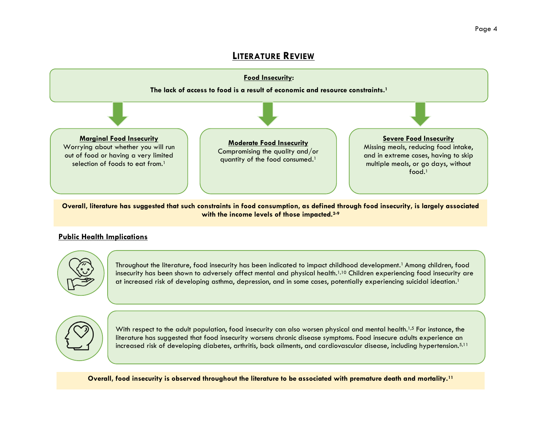# **LITERATURE REVIEW**



**Overall, literature has suggested that such constraints in food consumption, as defined through food insecurity, is largely associated with the income levels of those impacted. 2-9**

# **Public Health Implications**



Throughout the literature, food insecurity has been indicated to impact childhood development. <sup>1</sup>Among children, food insecurity has been shown to adversely affect mental and physical health. 1,10 Children experiencing food insecurity are at increased risk of developing asthma, depression, and in some cases, potentially experiencing suicidal ideation.<sup>1</sup>



With respect to the adult population, food insecurity can also worsen physical and mental health.<sup>1,5</sup> For instance, the literature has suggested that food insecurity worsens chronic disease symptoms. Food insecure adults experience an increased risk of developing diabetes, arthritis, back ailments, and cardiovascular disease, including hypertension. 5,11

**Overall, food insecurity is observed throughout the literature to be associated with premature death and mortality.11**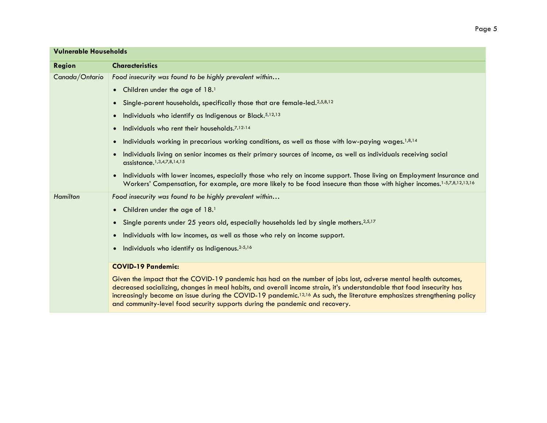|--|--|

| <b>Vulnerable Households</b> |                                                                                                                                                                                                                                                                                                                                                                                                                                                                  |  |
|------------------------------|------------------------------------------------------------------------------------------------------------------------------------------------------------------------------------------------------------------------------------------------------------------------------------------------------------------------------------------------------------------------------------------------------------------------------------------------------------------|--|
| <b>Region</b>                | <b>Characteristics</b>                                                                                                                                                                                                                                                                                                                                                                                                                                           |  |
| Canada/Ontario               | Food insecurity was found to be highly prevalent within                                                                                                                                                                                                                                                                                                                                                                                                          |  |
|                              | • Children under the age of 18.1                                                                                                                                                                                                                                                                                                                                                                                                                                 |  |
|                              | • Single-parent households, specifically those that are female-led. 2,5,8,12                                                                                                                                                                                                                                                                                                                                                                                     |  |
|                              | • Individuals who identify as Indigenous or Black. <sup>5,12,13</sup>                                                                                                                                                                                                                                                                                                                                                                                            |  |
|                              | Individuals who rent their households.7,12-14<br>$\bullet$                                                                                                                                                                                                                                                                                                                                                                                                       |  |
|                              | Individuals working in precarious working conditions, as well as those with low-paying wages. <sup>1,8,14</sup><br>$\bullet$                                                                                                                                                                                                                                                                                                                                     |  |
|                              | Individuals living on senior incomes as their primary sources of income, as well as individuals receiving social<br>$\bullet$<br>assistance. <sup>1,3,4,7,8,14,15</sup>                                                                                                                                                                                                                                                                                          |  |
|                              | Individuals with lower incomes, especially those who rely on income support. Those living on Employment Insurance and<br>$\bullet$<br>Workers' Compensation, for example, are more likely to be food insecure than those with higher incomes. <sup>1-5,7,8,12,13,16</sup>                                                                                                                                                                                        |  |
| Hamilton                     | Food insecurity was found to be highly prevalent within                                                                                                                                                                                                                                                                                                                                                                                                          |  |
|                              | • Children under the age of 18.1                                                                                                                                                                                                                                                                                                                                                                                                                                 |  |
|                              | • Single parents under 25 years old, especially households led by single mothers.2,5,17                                                                                                                                                                                                                                                                                                                                                                          |  |
|                              | • Individuals with low incomes, as well as those who rely on income support.                                                                                                                                                                                                                                                                                                                                                                                     |  |
|                              | Individuals who identify as Indigenous. <sup>2-5,16</sup><br>$\bullet$                                                                                                                                                                                                                                                                                                                                                                                           |  |
|                              | <b>COVID-19 Pandemic:</b>                                                                                                                                                                                                                                                                                                                                                                                                                                        |  |
|                              | Given the impact that the COVID-19 pandemic has had on the number of jobs lost, adverse mental health outcomes,<br>decreased socializing, changes in meal habits, and overall income strain, it's understandable that food insecurity has<br>increasingly become an issue during the COVID-19 pandemic. <sup>12,16</sup> As such, the literature emphasizes strengthening policy<br>and community-level food security supports during the pandemic and recovery. |  |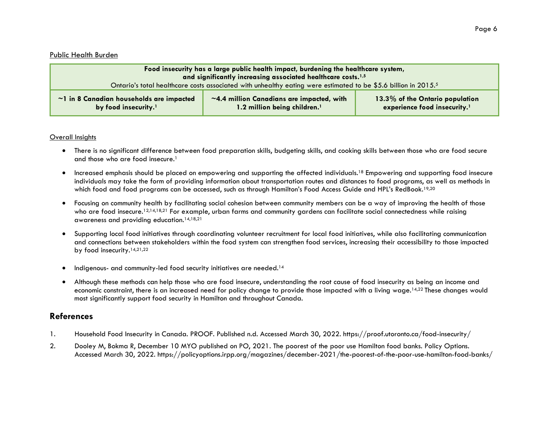## Public Health Burden

| Food insecurity has a large public health impact, burdening the healthcare system,<br>and significantly increasing associated healthcare costs. <sup>1,5</sup> |                                                                                             |                                                                             |
|----------------------------------------------------------------------------------------------------------------------------------------------------------------|---------------------------------------------------------------------------------------------|-----------------------------------------------------------------------------|
| Ontario's total healthcare costs associated with unhealthy eating were estimated to be \$5.6 billion in 2015. <sup>5</sup>                                     |                                                                                             |                                                                             |
| $\sim$ 1 in 8 Canadian households are impacted<br>by food insecurity. <sup>1</sup>                                                                             | $\sim$ 4.4 million Canadians are impacted, with<br>1.2 million being children. <sup>1</sup> | 13.3% of the Ontario population<br>experience food insecurity. <sup>1</sup> |

### Overall Insights

- There is no significant difference between food preparation skills, budgeting skills, and cooking skills between those who are food secure and those who are food insecure.<sup>1</sup>
- Increased emphasis should be placed on empowering and supporting the affected individuals. <sup>18</sup> Empowering and supporting food insecure individuals may take the form of providing information about transportation routes and distances to food programs, as well as methods in which food and food programs can be accessed, such as through Hamilton's Food Access Guide and HPL's RedBook.<sup>19,20</sup>
- Focusing on community health by facilitating social cohesion between community members can be a way of improving the health of those who are food insecure.<sup>12,14,18,21</sup> For example, urban farms and community gardens can facilitate social connectedness while raising awareness and providing education. 14,18,21
- Supporting local food initiatives through coordinating volunteer recruitment for local food initiatives, while also facilitating communication and connections between stakeholders within the food system can strengthen food services, increasing their accessibility to those impacted by food insecurity.14,21,22
- Indigenous- and community-led food security initiatives are needed.<sup>14</sup>
- Although these methods can help those who are food insecure, understanding the root cause of food insecurity as being an income and economic constraint, there is an increased need for policy change to provide those impacted with a living wage.<sup>14,22</sup> These changes would most significantly support food security in Hamilton and throughout Canada.

# **References**

- 1. Household Food Insecurity in Canada. PROOF. Published n.d. Accessed March 30, 2022. https://proof.utoronto.ca/food-insecurity/
- 2. Dooley M, Bokma R, December 10 MYO published on PO, 2021. The poorest of the poor use Hamilton food banks. Policy Options. Accessed March 30, 2022. https://policyoptions.irpp.org/magazines/december-2021/the-poorest-of-the-poor-use-hamilton-food-banks/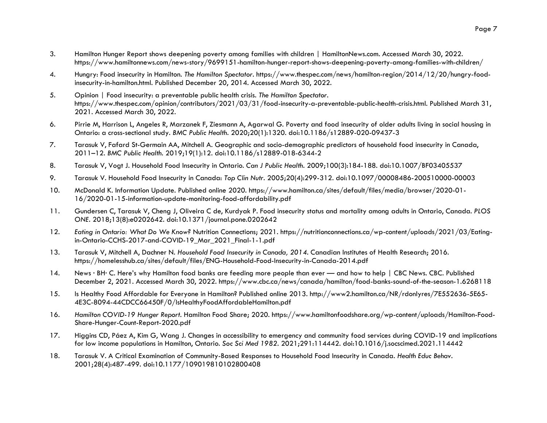- 3. Hamilton Hunger Report shows deepening poverty among families with children | HamiltonNews.com. Accessed March 30, 2022. https://www.hamiltonnews.com/news-story/9699151-hamilton-hunger-report-shows-deepening-poverty-among-families-with-children/
- 4. Hungry: Food insecurity in Hamilton. *The Hamilton Spectator*. https://www.thespec.com/news/hamilton-region/2014/12/20/hungry-foodinsecurity-in-hamilton.html. Published December 20, 2014. Accessed March 30, 2022.
- 5. Opinion | Food insecurity: a preventable public health crisis. *The Hamilton Spectator*. https://www.thespec.com/opinion/contributors/2021/03/31/food-insecurity-a-preventable-public-health-crisis.html. Published March 31, 2021. Accessed March 30, 2022.
- 6. Pirrie M, Harrison L, Angeles R, Marzanek F, Ziesmann A, Agarwal G. Poverty and food insecurity of older adults living in social housing in Ontario: a cross-sectional study. *BMC Public Health*. 2020;20(1):1320. doi:10.1186/s12889-020-09437-3
- 7. Tarasuk V, Fafard St-Germain AA, Mitchell A. Geographic and socio-demographic predictors of household food insecurity in Canada, 2011–12. *BMC Public Health*. 2019;19(1):12. doi:10.1186/s12889-018-6344-2
- 8. Tarasuk V, Vogt J. Household Food Insecurity in Ontario. *Can J Public Health*. 2009;100(3):184-188. doi:10.1007/BF03405537
- 9. Tarasuk V. Household Food Insecurity in Canada: *Top Clin Nutr*. 2005;20(4):299-312. doi:10.1097/00008486-200510000-00003
- 10. McDonald K. Information Update. Published online 2020. https://www.hamilton.ca/sites/default/files/media/browser/2020-01- 16/2020-01-15-information-update-monitoring-food-affordability.pdf
- 11. Gundersen C, Tarasuk V, Cheng J, Oliveira C de, Kurdyak P. Food insecurity status and mortality among adults in Ontario, Canada. *PLOS ONE*. 2018;13(8):e0202642. doi:10.1371/journal.pone.0202642
- 12. *Eating in Ontario: What Do We Know?* Nutrition Connections; 2021. https://nutritionconnections.ca/wp-content/uploads/2021/03/Eatingin-Ontario-CCHS-2017-and-COVID-19\_Mar\_2021\_Final-1-1.pdf
- 13. Tarasuk V, Mitchell A, Dachner N. *Household Food Insecurity in Canada, 2014*. Canadian Institutes of Health Research; 2016. https://homelesshub.ca/sites/default/files/ENG-Household-Food-Insecurity-in-Canada-2014.pdf
- 14. News · BH· C. Here's why Hamilton food banks are feeding more people than ever and how to help | CBC News. CBC. Published December 2, 2021. Accessed March 30, 2022. https://www.cbc.ca/news/canada/hamilton/food-banks-sound-of-the-season-1.6268118
- 15. Is Healthy Food Affordable for Everyone in Hamilton? Published online 2013. http://www2.hamilton.ca/NR/rdonlyres/7E552636-5E65- 4E3C-8094-44CDCC66450F/0/IsHealthyFoodAffordableHamilton.pdf
- 16. *Hamilton COVID-19 Hunger Report*. Hamilton Food Share; 2020. https://www.hamiltonfoodshare.org/wp-content/uploads/Hamilton-Food-Share-Hunger-Count-Report-2020.pdf
- 17. Higgins CD, Páez A, Kim G, Wang J. Changes in accessibility to emergency and community food services during COVID-19 and implications for low income populations in Hamilton, Ontario. *Soc Sci Med 1982*. 2021;291:114442. doi:10.1016/j.socscimed.2021.114442
- 18. Tarasuk V. A Critical Examination of Community-Based Responses to Household Food Insecurity in Canada. *Health Educ Behav*. 2001;28(4):487-499. doi:10.1177/109019810102800408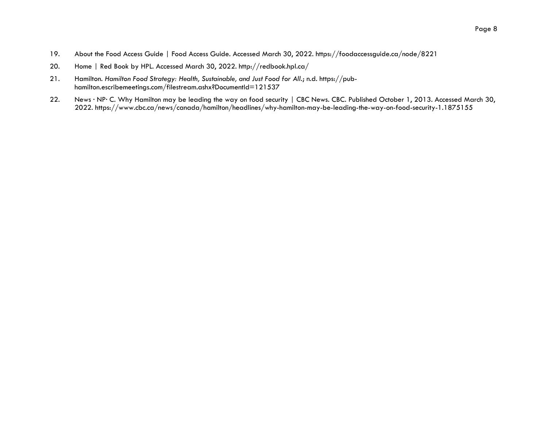- 19. About the Food Access Guide | Food Access Guide. Accessed March 30, 2022. https://foodaccessguide.ca/node/8221
- 20. Home | Red Book by HPL. Accessed March 30, 2022. http://redbook.hpl.ca/
- 21. Hamilton. *Hamilton Food Strategy: Health, Sustainable, and Just Food for All*.; n.d. https://pubhamilton.escribemeetings.com/filestream.ashx?DocumentId=121537
- 22. News · NP· C. Why Hamilton may be leading the way on food security | CBC News. CBC. Published October 1, 2013. Accessed March 30, 2022. https://www.cbc.ca/news/canada/hamilton/headlines/why-hamilton-may-be-leading-the-way-on-food-security-1.1875155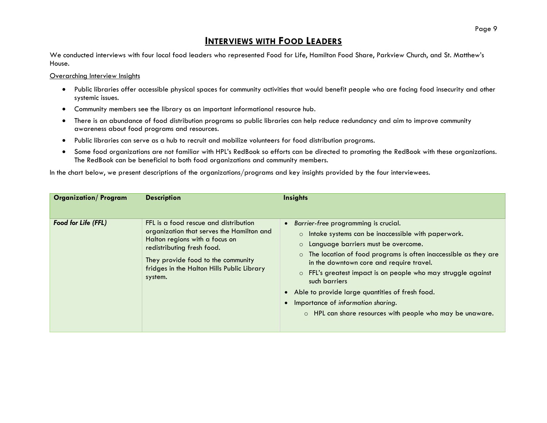# **INTERVIEWS WITH FOOD LEADERS**

We conducted interviews with four local food leaders who represented Food for Life, Hamilton Food Share, Parkview Church, and St. Matthew's House.

### Overarching Interview Insights

- Public libraries offer accessible physical spaces for community activities that would benefit people who are facing food insecurity and other systemic issues.
- Community members see the library as an important informational resource hub.
- There is an abundance of food distribution programs so public libraries can help reduce redundancy and aim to improve community awareness about food programs and resources.
- Public libraries can serve as a hub to recruit and mobilize volunteers for food distribution programs.
- Some food organizations are not familiar with HPL's RedBook so efforts can be directed to promoting the RedBook with these organizations. The RedBook can be beneficial to both food organizations and community members.

In the chart below, we present descriptions of the organizations/programs and key insights provided by the four interviewees.

| <b>Organization/Program</b> | <b>Description</b>                                                                                                                                                                                                                                | <b>Insights</b>                                                                                                                                                                                                                                                                                                                                                                                                                                                                                                   |
|-----------------------------|---------------------------------------------------------------------------------------------------------------------------------------------------------------------------------------------------------------------------------------------------|-------------------------------------------------------------------------------------------------------------------------------------------------------------------------------------------------------------------------------------------------------------------------------------------------------------------------------------------------------------------------------------------------------------------------------------------------------------------------------------------------------------------|
|                             |                                                                                                                                                                                                                                                   |                                                                                                                                                                                                                                                                                                                                                                                                                                                                                                                   |
| Food for Life (FFL)         | FFL is a food rescue and distribution<br>organization that serves the Hamilton and<br>Halton regions with a focus on<br>redistributing fresh food.<br>They provide food to the community<br>fridges in the Halton Hills Public Library<br>system. | Barrier-free programming is crucial.<br>$\bullet$<br>$\circ$ Intake systems can be inaccessible with paperwork.<br>o Language barriers must be overcome.<br>o The location of food programs is often inaccessible as they are<br>in the downtown core and require travel.<br>o FFL's greatest impact is on people who may struggle against<br>such barriers<br>Able to provide large quantities of fresh food.<br>Importance of information sharing.<br>o HPL can share resources with people who may be unaware. |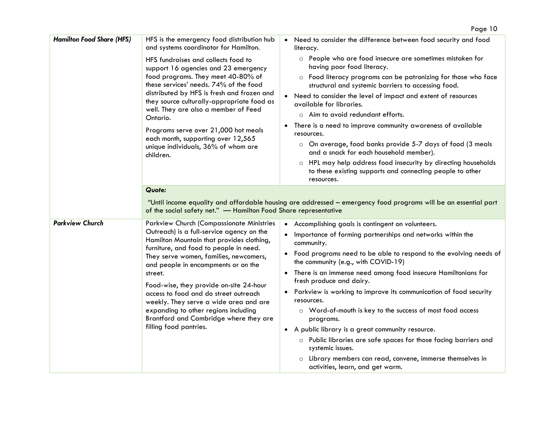|                                  |                                                                                                                                                                                                                                                                                                                                                                                                                                                                        | Page 10                                                                                                                                   |
|----------------------------------|------------------------------------------------------------------------------------------------------------------------------------------------------------------------------------------------------------------------------------------------------------------------------------------------------------------------------------------------------------------------------------------------------------------------------------------------------------------------|-------------------------------------------------------------------------------------------------------------------------------------------|
| <b>Hamilton Food Share (HFS)</b> | HFS is the emergency food distribution hub<br>and systems coordinator for Hamilton.                                                                                                                                                                                                                                                                                                                                                                                    | • Need to consider the difference between food security and food<br>literacy.                                                             |
|                                  | HFS fundraises and collects food to<br>support 16 agencies and 23 emergency<br>food programs. They meet 40-80% of<br>these services' needs. 74% of the food<br>distributed by HFS is fresh and frozen and<br>they source culturally-appropriate food as<br>well. They are also a member of Feed<br>Ontario.<br>Programs serve over 21,000 hot meals<br>each month, supporting over 12,565<br>unique individuals, 36% of whom are<br>children.                          | o People who are food insecure are sometimes mistaken for<br>having poor food literacy.                                                   |
|                                  |                                                                                                                                                                                                                                                                                                                                                                                                                                                                        | o Food literacy programs can be patronizing for those who face<br>structural and systemic barriers to accessing food.                     |
|                                  |                                                                                                                                                                                                                                                                                                                                                                                                                                                                        | Need to consider the level of impact and extent of resources<br>$\bullet$<br>available for libraries.                                     |
|                                  |                                                                                                                                                                                                                                                                                                                                                                                                                                                                        | $\circ$ Aim to avoid redundant efforts.                                                                                                   |
|                                  |                                                                                                                                                                                                                                                                                                                                                                                                                                                                        | • There is a need to improve community awareness of available<br>resources.                                                               |
|                                  |                                                                                                                                                                                                                                                                                                                                                                                                                                                                        | o On average, food banks provide 5-7 days of food (3 meals<br>and a snack for each household member).                                     |
|                                  |                                                                                                                                                                                                                                                                                                                                                                                                                                                                        | o HPL may help address food insecurity by directing households<br>to these existing supports and connecting people to other<br>resources. |
|                                  | Quote:                                                                                                                                                                                                                                                                                                                                                                                                                                                                 |                                                                                                                                           |
|                                  | "Until income equality and affordable housing are addressed - emergency food programs will be an essential part<br>of the social safety net." - Hamilton Food Share representative                                                                                                                                                                                                                                                                                     |                                                                                                                                           |
| <b>Parkview Church</b>           | Parkview Church (Compassionate Ministries                                                                                                                                                                                                                                                                                                                                                                                                                              | • Accomplishing goals is contingent on volunteers.                                                                                        |
|                                  | Outreach) is a full-service agency on the<br>Hamilton Mountain that provides clothing,<br>furniture, and food to people in need.<br>They serve women, families, newcomers,<br>and people in encampments or on the<br>street.<br>Food-wise, they provide on-site 24-hour<br>access to food and do street outreach<br>weekly. They serve a wide area and are<br>expanding to other regions including<br>Brantford and Cambridge where they are<br>filling food pantries. | Importance of forming partnerships and networks within the<br>$\bullet$<br>community.                                                     |
|                                  |                                                                                                                                                                                                                                                                                                                                                                                                                                                                        | • Food programs need to be able to respond to the evolving needs of<br>the community (e.g., with COVID-19)                                |
|                                  |                                                                                                                                                                                                                                                                                                                                                                                                                                                                        | • There is an immense need among food insecure Hamiltonians for<br>fresh produce and dairy.                                               |
|                                  |                                                                                                                                                                                                                                                                                                                                                                                                                                                                        | • Parkview is working to improve its communication of food security<br>resources.                                                         |
|                                  |                                                                                                                                                                                                                                                                                                                                                                                                                                                                        | O Word-of-mouth is key to the success of most food access<br>programs.                                                                    |
|                                  |                                                                                                                                                                                                                                                                                                                                                                                                                                                                        | • A public library is a great community resource.                                                                                         |
|                                  |                                                                                                                                                                                                                                                                                                                                                                                                                                                                        | o Public libraries are safe spaces for those facing barriers and<br>systemic issues.                                                      |
|                                  |                                                                                                                                                                                                                                                                                                                                                                                                                                                                        | Library members can read, convene, immerse themselves in<br>activities, learn, and get warm.                                              |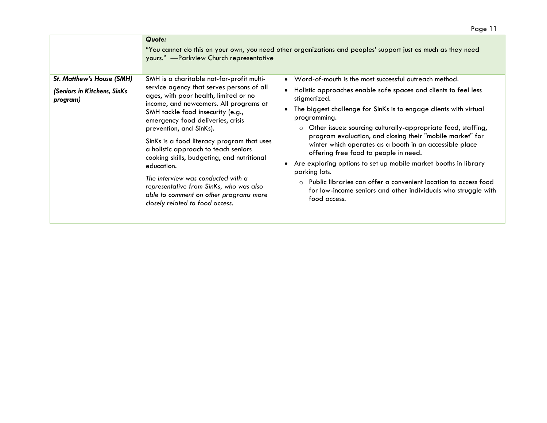| Quote:<br>"You cannot do this on your own, you need other organizations and peoples' support just as much as they need<br>yours." -Parkview Church representative<br>St. Matthew's House (SMH)<br>SMH is a charitable not-for-profit multi-<br>Word-of-mouth is the most successful outreach method.<br>$\bullet$<br>service agency that serves persons of all<br>$\bullet$                                                                                                                                                                                                                                                                                                                                                                                                                                                                                                                                                                                                                                  |                             |                                       |                                                                                                                                   |  |
|--------------------------------------------------------------------------------------------------------------------------------------------------------------------------------------------------------------------------------------------------------------------------------------------------------------------------------------------------------------------------------------------------------------------------------------------------------------------------------------------------------------------------------------------------------------------------------------------------------------------------------------------------------------------------------------------------------------------------------------------------------------------------------------------------------------------------------------------------------------------------------------------------------------------------------------------------------------------------------------------------------------|-----------------------------|---------------------------------------|-----------------------------------------------------------------------------------------------------------------------------------|--|
|                                                                                                                                                                                                                                                                                                                                                                                                                                                                                                                                                                                                                                                                                                                                                                                                                                                                                                                                                                                                              |                             |                                       |                                                                                                                                   |  |
| stigmatized.<br>program)<br>income, and newcomers. All programs at<br>The biggest challenge for SinKs is to engage clients with virtual<br>SMH tackle food insecurity (e.g.,<br>programming.<br>emergency food deliveries, crisis<br>$\circ$ Other issues: sourcing culturally-appropriate food, staffing,<br>prevention, and SinKs).<br>program evaluation, and closing their "mobile market" for<br>SinKs is a food literacy program that uses<br>winter which operates as a booth in an accessible place<br>a holistic approach to teach seniors<br>offering free food to people in need.<br>cooking skills, budgeting, and nutritional<br>Are exploring options to set up mobile market booths in library<br>$\bullet$<br>education.<br>parking lots.<br>The interview was conducted with a<br>○ Public libraries can offer a convenient location to access food<br>representative from SinKs, who was also<br>able to comment on other programs more<br>food access.<br>closely related to food access. | (Seniors in Kitchens, SinKs | ages, with poor health, limited or no | Holistic approaches enable safe spaces and clients to feel less<br>for low-income seniors and other individuals who struggle with |  |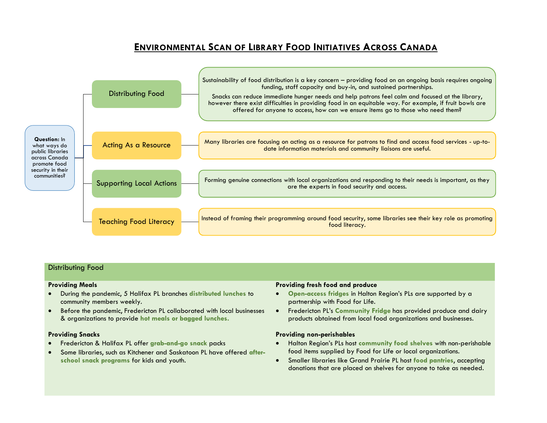# **ENVIRONMENTAL SCAN OF LIBRARY FOOD INITIATIVES ACROSS CANADA**



#### Distributing Food

#### **Providing Meals**

- During the pandemic, 5 Halifax PL branches **distributed lunches** to community members weekly.
- Before the pandemic, Fredericton PL collaborated with local businesses & organizations to provide **hot meals or bagged lunches.**

#### **Providing Snacks**

- Fredericton & Halifax PL offer **grab-and-go snack** packs
- Some libraries, such as Kitchener and Saskatoon PL have offered **afterschool snack programs** for kids and youth.

#### **Providing fresh food and produce**

- **Open-access fridges** in Halton Region's PLs are supported by a partnership with Food for Life.
- Fredericton PL's **Community Fridge** has provided produce and dairy products obtained from local food organizations and businesses.

#### **Providing non-perishables**

- Halton Region's PLs host **community food shelves** with non-perishable food items supplied by Food for Life or local organizations.
- Smaller libraries like Grand Prairie PL host **food pantries**, accepting donations that are placed on shelves for anyone to take as needed.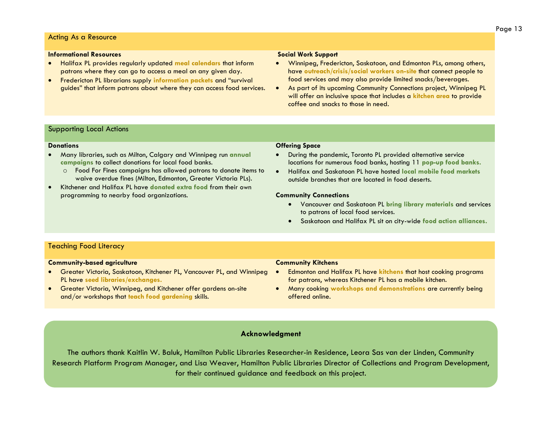#### Acting As a Resource

#### **Informational Resources**

- Halifax PL provides regularly updated **meal calendars** that inform patrons where they can go to access a meal on any given day.
- Fredericton PL librarians supply **information packets** and "survival guides" that inform patrons about where they can access food services.

#### **Social Work Support**

- Winnipeg, Fredericton, Saskatoon, and Edmonton PLs, among others, have **outreach/crisis/social workers on-site** that connect people to food services and may also provide limited snacks/beverages.
- As part of its upcoming Community Connections project, Winnipeg PL will offer an inclusive space that includes a **kitchen area** to provide coffee and snacks to those in need.

## Supporting Local Actions

#### **Donations**

- Many libraries, such as Milton, Calgary and Winnipeg run **annual campaigns** to collect donations for local food banks.
	- o Food For Fines campaigns has allowed patrons to donate items to waive overdue fines (Milton, Edmonton, Greater Victoria PLs).
- Kitchener and Halifax PL have **donated extra food** from their own programming to nearby food organizations.

#### **Offering Space**

- During the pandemic, Toronto PL provided alternative service locations for numerous food banks, hosting 11 **pop-up food banks.**
- Halifax and Saskatoon PL have hosted **local mobile food markets** outside branches that are located in food deserts.

#### **Community Connections**

- Vancouver and Saskatoon PL **bring library materials** and services to patrons of local food services.
- Saskatoon and Halifax PL sit on city-wide **food action alliances.**

### Teaching Food Literacy

#### **Community-based agriculture**

- Greater Victoria, Saskatoon, Kitchener PL, Vancouver PL, and Winnipeg PL have **seed libraries/exchanges.**
- Greater Victoria, Winnipeg, and Kitchener offer gardens on-site and/or workshops that **teach food gardening** skills.

#### **Community Kitchens**

- Edmonton and Halifax PL have **kitchens** that host cooking programs for patrons, whereas Kitchener PL has a mobile kitchen.
- Many cooking **workshops and demonstrations** are currently being offered online.

### **Acknowledgment**

The authors thank Kaitlin W. Baluk, Hamilton Public Libraries Researcher-in Residence, Leora Sas van der Linden, Community Research Platform Program Manager, and Lisa Weaver, Hamilton Public Libraries Director of Collections and Program Development, for their continued guidance and feedback on this project.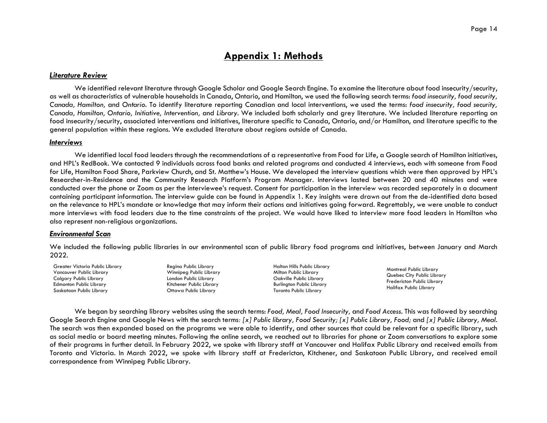# **Appendix 1: Methods**

#### *Literature Review*

We identified relevant literature through Google Scholar and Google Search Engine. To examine the literature about food insecurity/security, as well as characteristics of vulnerable households in Canada, Ontario, and Hamilton, we used the following search terms: *food insecurity, food security, Canada, Hamilton,* and *Ontario*. To identify literature reporting Canadian and local interventions, we used the terms: *food insecurity, food security, Canada, Hamilton, Ontario, Initiative, Intervention,* and *Library*. We included both scholarly and grey literature. We included literature reporting on food insecurity/security, associated interventions and initiatives, literature specific to Canada, Ontario, and/or Hamilton, and literature specific to the general population within these regions. We excluded literature about regions outside of Canada.

#### *Interviews*

We identified local food leaders through the recommendations of a representative from Food for Life, a Google search of Hamilton initiatives, and HPL's RedBook. We contacted 9 individuals across food banks and related programs and conducted 4 interviews, each with someone from Food for Life, Hamilton Food Share, Parkview Church, and St. Matthew's House. We developed the interview questions which were then approved by HPL's Researcher-in-Residence and the Community Research Platform's Program Manager. Interviews lasted between 20 and 40 minutes and were conducted over the phone or Zoom as per the interviewee's request. Consent for participation in the interview was recorded separately in a document containing participant information. The interview guide can be found in Appendix 1. Key insights were drawn out from the de-identified data based on the relevance to HPL's mandate or knowledge that may inform their actions and initiatives going forward. Regrettably, we were unable to conduct more interviews with food leaders due to the time constraints of the project. We would have liked to interview more food leaders in Hamilton who also represent non-religious organizations.

#### *Environmental Scan*

We included the following public libraries in our environmental scan of public library food programs and initiatives, between January and March 2022.

Greater Victoria Public Library Vancouver Public Library Calgary Public Library Edmonton Public Library Saskatoon Public Library

Regina Public Library Winnipeg Public Library London Public Library Kitchener Public Library Ottawa Public Library

Halton Hills Public Library Milton Public Library Oakville Public Library Burlington Public Library Toronto Public Library

Montreal Public Library Quebec City Public Library Fredericton Public Library Halifax Public Library

We began by searching library websites using the search terms: *Food, Meal, Food Insecurity,* and *Food Access*. This was followed by searching Google Search Engine and Google News with the search terms*: [x] Public library, Food Security; [x] Public Library, Food;* and *[x] Public Library, Meal.* The search was then expanded based on the programs we were able to identify, and other sources that could be relevant for a specific library, such as social media or board meeting minutes. Following the online search, we reached out to libraries for phone or Zoom conversations to explore some of their programs in further detail. In February 2022, we spoke with library staff at Vancouver and Halifax Public Library and received emails from Toronto and Victoria. In March 2022, we spoke with library staff at Fredericton, Kitchener, and Saskatoon Public Library, and received email correspondence from Winnipeg Public Library.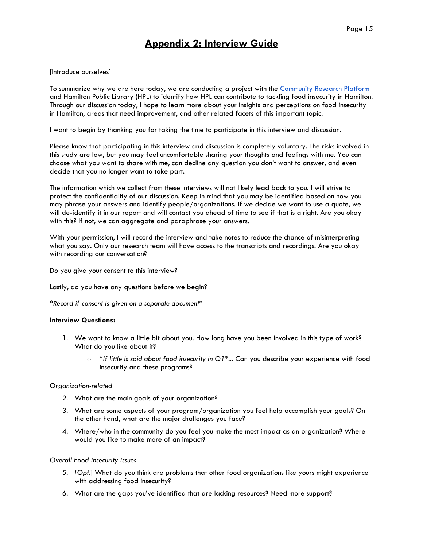# **Appendix 2: Interview Guide**

### [Introduce ourselves]

To summarize why we are here today, we are conducting a project with the [Community Research Platform](https://socialsciences.mcmaster.ca/crp/about-us) and Hamilton Public Library (HPL) to identify how HPL can contribute to tackling food insecurity in Hamilton. Through our discussion today, I hope to learn more about your insights and perceptions on food insecurity in Hamilton, areas that need improvement, and other related facets of this important topic.

I want to begin by thanking you for taking the time to participate in this interview and discussion.

Please know that participating in this interview and discussion is completely voluntary. The risks involved in this study are low, but you may feel uncomfortable sharing your thoughts and feelings with me. You can choose what you want to share with me, can decline any question you don't want to answer, and even decide that you no longer want to take part.

The information which we collect from these interviews will not likely lead back to you. I will strive to protect the confidentiality of our discussion. Keep in mind that you may be identified based on how you may phrase your answers and identify people/organizations. If we decide we want to use a quote, we will de-identify it in our report and will contact you ahead of time to see if that is alright. Are you okay with this? If not, we can aggregate and paraphrase your answers.

With your permission, I will record the interview and take notes to reduce the chance of misinterpreting what you say. Only our research team will have access to the transcripts and recordings. Are you okay with recording our conversation?

Do you give your consent to this interview?

Lastly, do you have any questions before we begin?

*\*Record if consent is given on a separate document\**

### **Interview Questions:**

- 1. We want to know a little bit about you. How long have you been involved in this type of work? What do you like about it?
	- o *\*If little is said about food insecurity in Q1\*...* Can you describe your experience with food insecurity and these programs?

### *Organization-related*

- 2. What are the main goals of your organization?
- 3. What are some aspects of your program/organization you feel help accomplish your goals? On the other hand, what are the major challenges you face?
- 4. Where/who in the community do you feel you make the most impact as an organization? Where would you like to make more of an impact?

### *Overall Food Insecurity Issues*

- 5. *[Opt*.] What do you think are problems that other food organizations like yours might experience with addressing food insecurity?
- 6. What are the gaps you've identified that are lacking resources? Need more support?